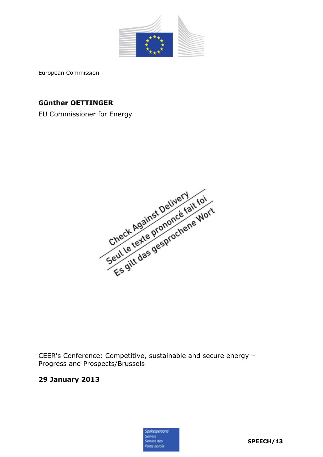

European Commission

# **Günther OETTINGER**

EU Commissioner for Energy



CEER's Conference: Competitive, sustainable and secure energy – Progress and Prospects/Brussels

## **29 January 2013**

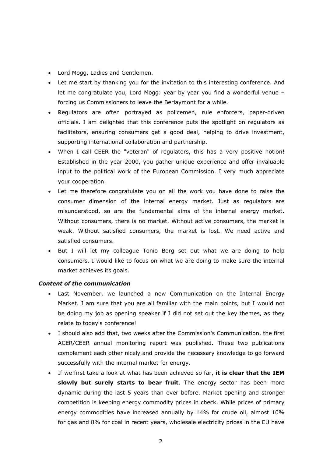- Lord Mogg, Ladies and Gentlemen.
- Let me start by thanking you for the invitation to this interesting conference. And let me congratulate you, Lord Mogg: year by year you find a wonderful venue – forcing us Commissioners to leave the Berlaymont for a while.
- Regulators are often portrayed as policemen, rule enforcers, paper-driven officials. I am delighted that this conference puts the spotlight on regulators as facilitators, ensuring consumers get a good deal, helping to drive investment, supporting international collaboration and partnership.
- When I call CEER the "veteran" of regulators, this has a very positive notion! Established in the year 2000, you gather unique experience and offer invaluable input to the political work of the European Commission. I very much appreciate your cooperation.
- Let me therefore congratulate you on all the work you have done to raise the consumer dimension of the internal energy market. Just as regulators are misunderstood, so are the fundamental aims of the internal energy market. Without consumers, there is no market. Without active consumers, the market is weak. Without satisfied consumers, the market is lost. We need active and satisfied consumers.
- But I will let my colleague Tonio Borg set out what we are doing to help consumers. I would like to focus on what we are doing to make sure the internal market achieves its goals.

## *Content of the communication*

- Last November, we launched a new Communication on the Internal Energy Market. I am sure that you are all familiar with the main points, but I would not be doing my job as opening speaker if I did not set out the key themes, as they relate to today's conference!
- I should also add that, two weeks after the Commission's Communication, the first ACER/CEER annual monitoring report was published. These two publications complement each other nicely and provide the necessary knowledge to go forward successfully with the internal market for energy.
- If we first take a look at what has been achieved so far, **it is clear that the IEM slowly but surely starts to bear fruit**. The energy sector has been more dynamic during the last 5 years than ever before. Market opening and stronger competition is keeping energy commodity prices in check. While prices of primary energy commodities have increased annually by 14% for crude oil, almost 10% for gas and 8% for coal in recent years, wholesale electricity prices in the EU have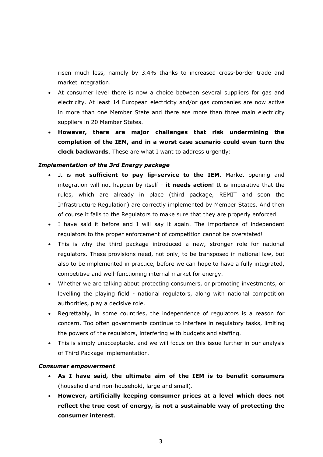risen much less, namely by 3.4% thanks to increased cross-border trade and market integration.

- At consumer level there is now a choice between several suppliers for gas and electricity. At least 14 European electricity and/or gas companies are now active in more than one Member State and there are more than three main electricity suppliers in 20 Member States.
- **However, there are major challenges that risk undermining the completion of the IEM, and in a worst case scenario could even turn the clock backwards**. These are what I want to address urgently:

### *Implementation of the 3rd Energy package*

- It is **not sufficient to pay lip-service to the IEM**. Market opening and integration will not happen by itself - **it needs action**! It is imperative that the rules, which are already in place (third package, REMIT and soon the Infrastructure Regulation) are correctly implemented by Member States. And then of course it falls to the Regulators to make sure that they are properly enforced.
- I have said it before and I will say it again. The importance of independent regulators to the proper enforcement of competition cannot be overstated!
- This is why the third package introduced a new, stronger role for national regulators. These provisions need, not only, to be transposed in national law, but also to be implemented in practice, before we can hope to have a fully integrated, competitive and well-functioning internal market for energy.
- Whether we are talking about protecting consumers, or promoting investments, or levelling the playing field - national regulators, along with national competition authorities, play a decisive role.
- Regrettably, in some countries, the independence of regulators is a reason for concern. Too often governments continue to interfere in regulatory tasks, limiting the powers of the regulators, interfering with budgets and staffing.
- This is simply unacceptable, and we will focus on this issue further in our analysis of Third Package implementation.

#### *Consumer empowerment*

- **As I have said, the ultimate aim of the IEM is to benefit consumers**  (household and non-household, large and small).
- **However, artificially keeping consumer prices at a level which does not reflect the true cost of energy, is not a sustainable way of protecting the consumer interest**.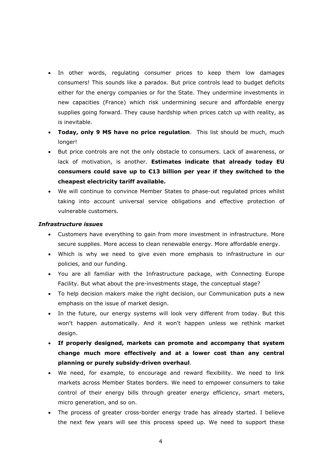- In other words, regulating consumer prices to keep them low damages consumers! This sounds like a paradox. But price controls lead to budget deficits either for the energy companies or for the State. They undermine investments in new capacities (France) which risk undermining secure and affordable energy supplies going forward. They cause hardship when prices catch up with reality, as is inevitable.
- **Today, only 9 MS have no price regulation**. This list should be much, much longer!
- But price controls are not the only obstacle to consumers. Lack of awareness, or lack of motivation, is another. **Estimates indicate that already today EU consumers could save up to €13 billion per year if they switched to the cheapest electricity tariff available.**
- We will continue to convince Member States to phase-out regulated prices whilst taking into account universal service obligations and effective protection of vulnerable customers.

### *Infrastructure issues*

- Customers have everything to gain from more investment in infrastructure. More secure supplies. More access to clean renewable energy. More affordable energy.
- Which is why we need to give even more emphasis to infrastructure in our policies, and our funding.
- You are all familiar with the Infrastructure package, with Connecting Europe Facility. But what about the pre-investments stage, the conceptual stage?
- To help decision makers make the right decision, our Communication puts a new emphasis on the issue of market design.
- In the future, our energy systems will look very different from today. But this won't happen automatically. And it won't happen unless we rethink market design.
- **If properly designed, markets can promote and accompany that system change much more effectively and at a lower cost than any central planning or purely subsidy-driven overhaul**.
- We need, for example, to encourage and reward flexibility. We need to link markets across Member States borders. We need to empower consumers to take control of their energy bills through greater energy efficiency, smart meters, micro generation, and so on.
- The process of greater cross-border energy trade has already started. I believe the next few years will see this process speed up. We need to support these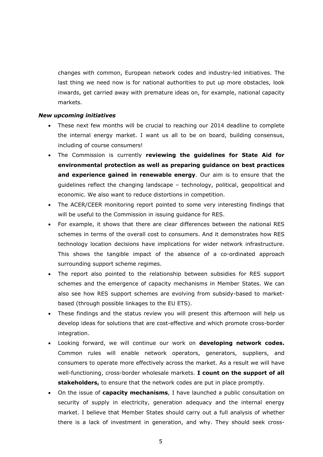changes with common, European network codes and industry-led initiatives. The last thing we need now is for national authorities to put up more obstacles, look inwards, get carried away with premature ideas on, for example, national capacity markets.

#### *New upcoming initiatives*

- These next few months will be crucial to reaching our 2014 deadline to complete the internal energy market. I want us all to be on board, building consensus, including of course consumers!
- The Commission is currently **reviewing the guidelines for State Aid for environmental protection as well as preparing guidance on best practices and experience gained in renewable energy**. Our aim is to ensure that the guidelines reflect the changing landscape – technology, political, geopolitical and economic. We also want to reduce distortions in competition.
- The ACER/CEER monitoring report pointed to some very interesting findings that will be useful to the Commission in issuing guidance for RES.
- For example, it shows that there are clear differences between the national RES schemes in terms of the overall cost to consumers. And it demonstrates how RES technology location decisions have implications for wider network infrastructure. This shows the tangible impact of the absence of a co-ordinated approach surrounding support scheme regimes.
- The report also pointed to the relationship between subsidies for RES support schemes and the emergence of capacity mechanisms in Member States. We can also see how RES support schemes are evolving from subsidy-based to marketbased (through possible linkages to the EU ETS).
- These findings and the status review you will present this afternoon will help us develop ideas for solutions that are cost-effective and which promote cross-border integration.
- Looking forward, we will continue our work on **developing network codes.**  Common rules will enable network operators, generators, suppliers, and consumers to operate more effectively across the market. As a result we will have well-functioning, cross-border wholesale markets. **I count on the support of all stakeholders,** to ensure that the network codes are put in place promptly.
- On the issue of **capacity mechanisms**, I have launched a public consultation on security of supply in electricity, generation adequacy and the internal energy market. I believe that Member States should carry out a full analysis of whether there is a lack of investment in generation, and why. They should seek cross-